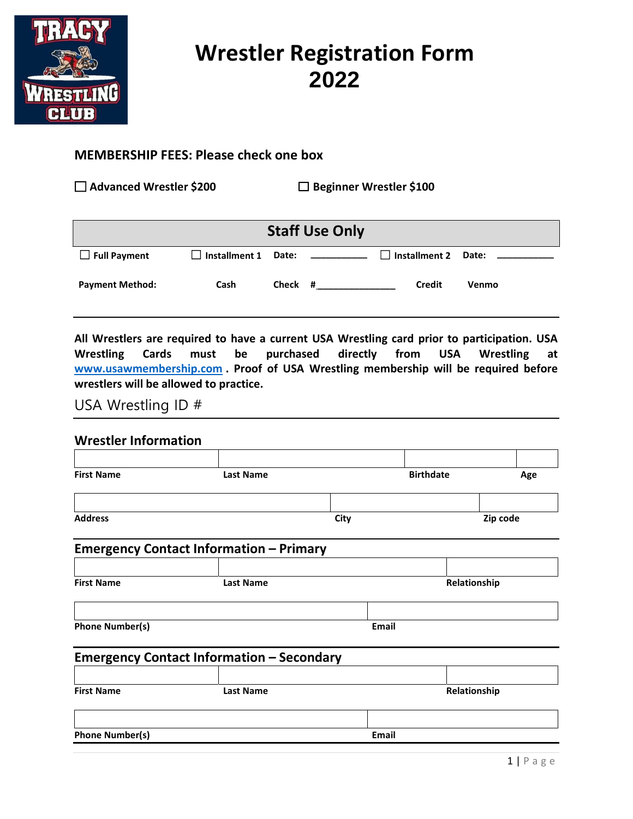

## **2022** Wrestler Registration Form

## MEMBERSHIP FEES: Please check one box

☐ Advanced Wrestler \$200 ☐ Beginner Wrestler \$100

| <b>Staff Use Only</b>  |                            |         |                                                |                            |       |  |
|------------------------|----------------------------|---------|------------------------------------------------|----------------------------|-------|--|
| $\Box$ Full Payment    | $\Box$ Installment 1 Date: |         | <u> 1989 - John Stein, mars and de Branden</u> | $\Box$ Installment 2 Date: |       |  |
| <b>Payment Method:</b> | Cash                       | Check # |                                                | Credit                     | Venmo |  |

wrestlers will be allowed to practice. www.usawmembership.com. Proof of USA Wrestling membership will be required before Wrestling Cards must be purchased directly from USA Wrestling at All Wrestlers are required to have a current USA Wrestling card prior to participation. USA

USA Wrestling ID #

### Wrestler Information

| <b>First Name</b>                                | <b>Last Name</b> |              | <b>Birthdate</b> |  | Age |
|--------------------------------------------------|------------------|--------------|------------------|--|-----|
|                                                  |                  |              |                  |  |     |
| <b>Address</b>                                   | City             |              | Zip code         |  |     |
| <b>Emergency Contact Information - Primary</b>   |                  |              |                  |  |     |
| <b>First Name</b>                                | <b>Last Name</b> | Relationship |                  |  |     |
| <b>Phone Number(s)</b>                           |                  | <b>Email</b> |                  |  |     |
| <b>Emergency Contact Information - Secondary</b> |                  |              |                  |  |     |
|                                                  |                  |              |                  |  |     |
| <b>First Name</b>                                | <b>Last Name</b> |              | Relationship     |  |     |

Phone Number(s) email